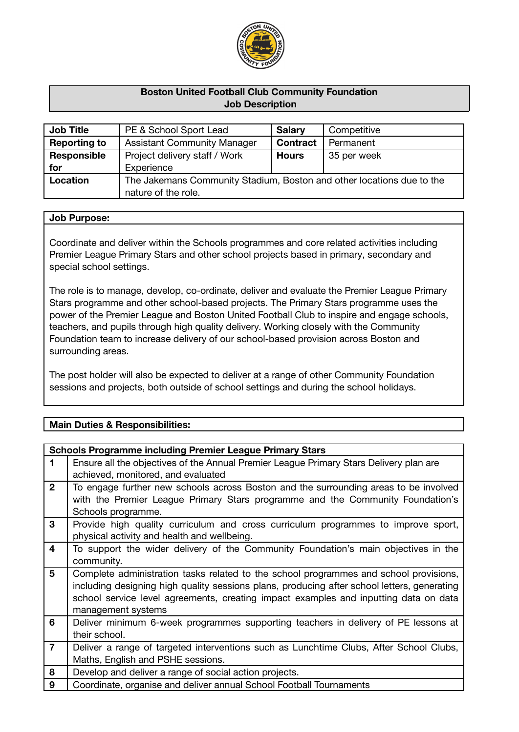

## **Boston United Football Club Community Foundation Job Description**

| <b>Job Title</b>    | PE & School Sport Lead                                                | <b>Salary</b>   | Competitive |
|---------------------|-----------------------------------------------------------------------|-----------------|-------------|
| <b>Reporting to</b> | <b>Assistant Community Manager</b>                                    | <b>Contract</b> | Permanent   |
| Responsible         | Project delivery staff / Work                                         | <b>Hours</b>    | 35 per week |
| for                 | Experience                                                            |                 |             |
| Location            | The Jakemans Community Stadium, Boston and other locations due to the |                 |             |
|                     | nature of the role.                                                   |                 |             |

#### **Job Purpose:**

Coordinate and deliver within the Schools programmes and core related activities including Premier League Primary Stars and other school projects based in primary, secondary and special school settings.

The role is to manage, develop, co-ordinate, deliver and evaluate the Premier League Primary Stars programme and other school-based projects. The Primary Stars programme uses the power of the Premier League and Boston United Football Club to inspire and engage schools, teachers, and pupils through high quality delivery. Working closely with the Community Foundation team to increase delivery of our school-based provision across Boston and surrounding areas.

The post holder will also be expected to deliver at a range of other Community Foundation sessions and projects, both outside of school settings and during the school holidays.

## **Main Duties & Responsibilities:**

| <b>Schools Programme including Premier League Primary Stars</b> |                                                                                                                                                                                                                                                                                                    |  |
|-----------------------------------------------------------------|----------------------------------------------------------------------------------------------------------------------------------------------------------------------------------------------------------------------------------------------------------------------------------------------------|--|
| 1                                                               | Ensure all the objectives of the Annual Premier League Primary Stars Delivery plan are<br>achieved, monitored, and evaluated                                                                                                                                                                       |  |
| $\overline{2}$                                                  | To engage further new schools across Boston and the surrounding areas to be involved<br>with the Premier League Primary Stars programme and the Community Foundation's<br>Schools programme.                                                                                                       |  |
| 3                                                               | Provide high quality curriculum and cross curriculum programmes to improve sport,<br>physical activity and health and wellbeing.                                                                                                                                                                   |  |
| 4                                                               | To support the wider delivery of the Community Foundation's main objectives in the<br>community.                                                                                                                                                                                                   |  |
| $5\phantom{1}$                                                  | Complete administration tasks related to the school programmes and school provisions,<br>including designing high quality sessions plans, producing after school letters, generating<br>school service level agreements, creating impact examples and inputting data on data<br>management systems |  |
| 6                                                               | Deliver minimum 6-week programmes supporting teachers in delivery of PE lessons at<br>their school.                                                                                                                                                                                                |  |
| $\overline{7}$                                                  | Deliver a range of targeted interventions such as Lunchtime Clubs, After School Clubs,<br>Maths, English and PSHE sessions.                                                                                                                                                                        |  |
| 8                                                               | Develop and deliver a range of social action projects.                                                                                                                                                                                                                                             |  |
| 9                                                               | Coordinate, organise and deliver annual School Football Tournaments                                                                                                                                                                                                                                |  |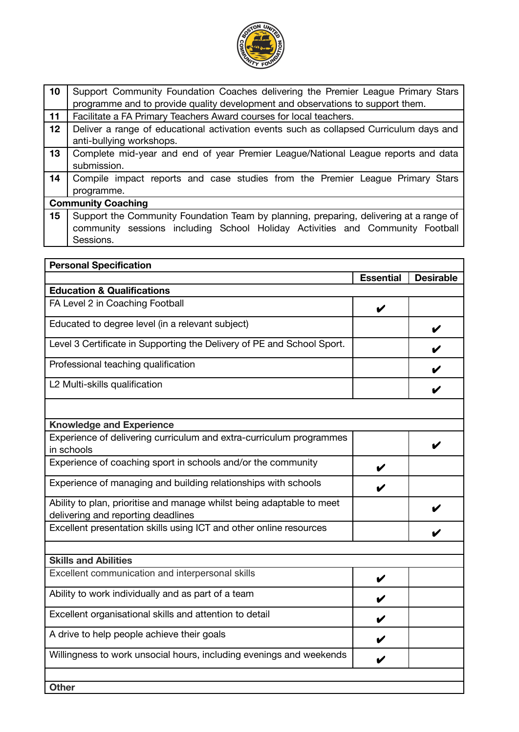

| 10 | Support Community Foundation Coaches delivering the Premier League Primary Stars<br>programme and to provide quality development and observations to support them.                   |  |
|----|--------------------------------------------------------------------------------------------------------------------------------------------------------------------------------------|--|
| 11 | Facilitate a FA Primary Teachers Award courses for local teachers.                                                                                                                   |  |
| 12 | Deliver a range of educational activation events such as collapsed Curriculum days and<br>anti-bullying workshops.                                                                   |  |
| 13 | Complete mid-year and end of year Premier League/National League reports and data<br>submission.                                                                                     |  |
| 14 | Compile impact reports and case studies from the Premier League Primary Stars<br>programme.                                                                                          |  |
|    | <b>Community Coaching</b>                                                                                                                                                            |  |
| 15 | Support the Community Foundation Team by planning, preparing, delivering at a range of<br>community sessions including School Holiday Activities and Community Football<br>Sessions. |  |

| <b>Personal Specification</b>                                                                               |                  |                  |
|-------------------------------------------------------------------------------------------------------------|------------------|------------------|
|                                                                                                             | <b>Essential</b> | <b>Desirable</b> |
| <b>Education &amp; Qualifications</b>                                                                       |                  |                  |
| FA Level 2 in Coaching Football                                                                             | V                |                  |
| Educated to degree level (in a relevant subject)                                                            |                  |                  |
| Level 3 Certificate in Supporting the Delivery of PE and School Sport.                                      |                  |                  |
| Professional teaching qualification                                                                         |                  |                  |
| L2 Multi-skills qualification                                                                               |                  |                  |
|                                                                                                             |                  |                  |
| <b>Knowledge and Experience</b>                                                                             |                  |                  |
| Experience of delivering curriculum and extra-curriculum programmes<br>in schools                           |                  |                  |
| Experience of coaching sport in schools and/or the community                                                |                  |                  |
| Experience of managing and building relationships with schools                                              |                  |                  |
| Ability to plan, prioritise and manage whilst being adaptable to meet<br>delivering and reporting deadlines |                  |                  |
| Excellent presentation skills using ICT and other online resources                                          |                  |                  |
| <b>Skills and Abilities</b>                                                                                 |                  |                  |
| Excellent communication and interpersonal skills                                                            | V                |                  |
| Ability to work individually and as part of a team                                                          | V                |                  |
| Excellent organisational skills and attention to detail                                                     | V                |                  |
| A drive to help people achieve their goals                                                                  |                  |                  |
| Willingness to work unsocial hours, including evenings and weekends                                         |                  |                  |
| <b>Other</b>                                                                                                |                  |                  |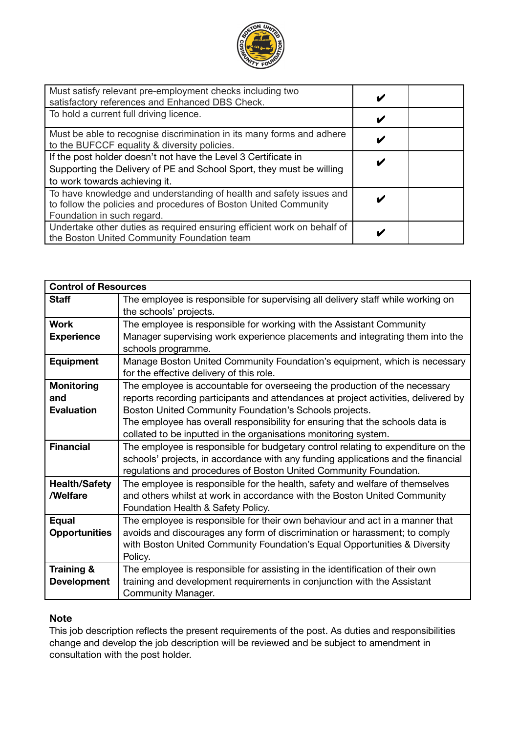

| Must satisfy relevant pre-employment checks including two<br>satisfactory references and Enhanced DBS Check.                                                            |  |  |
|-------------------------------------------------------------------------------------------------------------------------------------------------------------------------|--|--|
| To hold a current full driving licence.                                                                                                                                 |  |  |
| Must be able to recognise discrimination in its many forms and adhere<br>to the BUFCCF equality & diversity policies.                                                   |  |  |
| If the post holder doesn't not have the Level 3 Certificate in<br>Supporting the Delivery of PE and School Sport, they must be willing<br>to work towards achieving it. |  |  |
| To have knowledge and understanding of health and safety issues and<br>to follow the policies and procedures of Boston United Community<br>Foundation in such regard.   |  |  |
| Undertake other duties as required ensuring efficient work on behalf of<br>the Boston United Community Foundation team                                                  |  |  |

| <b>Control of Resources</b> |                                                                                    |  |
|-----------------------------|------------------------------------------------------------------------------------|--|
| Staff                       | The employee is responsible for supervising all delivery staff while working on    |  |
|                             | the schools' projects.                                                             |  |
| <b>Work</b>                 | The employee is responsible for working with the Assistant Community               |  |
| <b>Experience</b>           | Manager supervising work experience placements and integrating them into the       |  |
|                             | schools programme.                                                                 |  |
| <b>Equipment</b>            | Manage Boston United Community Foundation's equipment, which is necessary          |  |
|                             | for the effective delivery of this role.                                           |  |
| <b>Monitoring</b>           | The employee is accountable for overseeing the production of the necessary         |  |
| and                         | reports recording participants and attendances at project activities, delivered by |  |
| <b>Evaluation</b>           | Boston United Community Foundation's Schools projects.                             |  |
|                             | The employee has overall responsibility for ensuring that the schools data is      |  |
|                             | collated to be inputted in the organisations monitoring system.                    |  |
| <b>Financial</b>            | The employee is responsible for budgetary control relating to expenditure on the   |  |
|                             | schools' projects, in accordance with any funding applications and the financial   |  |
|                             | regulations and procedures of Boston United Community Foundation.                  |  |
| <b>Health/Safety</b>        | The employee is responsible for the health, safety and welfare of themselves       |  |
| /Welfare                    | and others whilst at work in accordance with the Boston United Community           |  |
|                             | Foundation Health & Safety Policy.                                                 |  |
| <b>Equal</b>                | The employee is responsible for their own behaviour and act in a manner that       |  |
| <b>Opportunities</b>        | avoids and discourages any form of discrimination or harassment; to comply         |  |
|                             | with Boston United Community Foundation's Equal Opportunities & Diversity          |  |
|                             | Policy.                                                                            |  |
| Training &                  | The employee is responsible for assisting in the identification of their own       |  |
| <b>Development</b>          | training and development requirements in conjunction with the Assistant            |  |
|                             | Community Manager.                                                                 |  |

# **Note**

This job description reflects the present requirements of the post. As duties and responsibilities change and develop the job description will be reviewed and be subject to amendment in consultation with the post holder.